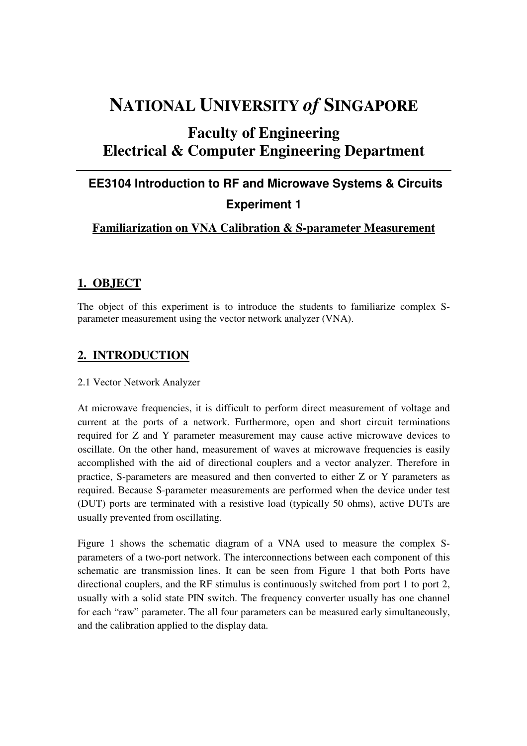# **NATIONAL UNIVERSITY** *of* **SINGAPORE**

## **Faculty of Engineering Electrical & Computer Engineering Department**

# **EE3104 Introduction to RF and Microwave Systems & Circuits Experiment 1**

### **Familiarization on VNA Calibration & S-parameter Measurement**

### **1. OBJECT**

The object of this experiment is to introduce the students to familiarize complex Sparameter measurement using the vector network analyzer (VNA).

### **2. INTRODUCTION**

#### 2.1 Vector Network Analyzer

At microwave frequencies, it is difficult to perform direct measurement of voltage and current at the ports of a network. Furthermore, open and short circuit terminations required for Z and Y parameter measurement may cause active microwave devices to oscillate. On the other hand, measurement of waves at microwave frequencies is easily accomplished with the aid of directional couplers and a vector analyzer. Therefore in practice, S-parameters are measured and then converted to either Z or Y parameters as required. Because S-parameter measurements are performed when the device under test (DUT) ports are terminated with a resistive load (typically 50 ohms), active DUTs are usually prevented from oscillating.

Figure 1 shows the schematic diagram of a VNA used to measure the complex Sparameters of a two-port network. The interconnections between each component of this schematic are transmission lines. It can be seen from Figure 1 that both Ports have directional couplers, and the RF stimulus is continuously switched from port 1 to port 2, usually with a solid state PIN switch. The frequency converter usually has one channel for each "raw" parameter. The all four parameters can be measured early simultaneously, and the calibration applied to the display data.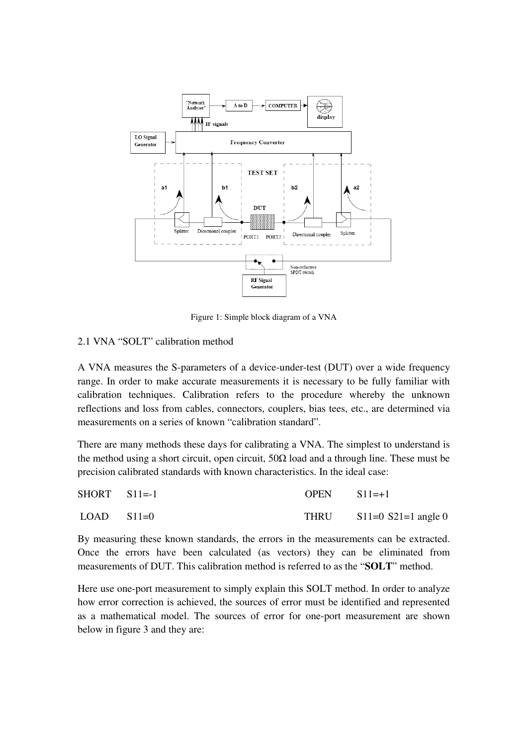

Figure 1: Simple block diagram of a VNA

### 2.1 VNA "SOLT" calibration method

A VNA measures the S-parameters of a device-under-test (DUT) over a wide frequency range. In order to make accurate measurements it is necessary to be fully familiar with calibration techniques. Calibration refers to the procedure whereby the unknown reflections and loss from cables, connectors, couplers, bias tees, etc., are determined via measurements on a series of known "calibration standard".

There are many methods these days for calibrating a VNA. The simplest to understand is the method using a short circuit, open circuit,  $50\Omega$  load and a through line. These must be precision calibrated standards with known characteristics. In the ideal case:

| $SHORT \quad SI1=-1$ | $OPEN$ $S11=+1$ |                              |
|----------------------|-----------------|------------------------------|
| $LOAD$ $S11=0$       |                 | THRU $S11=0$ $S21=1$ angle 0 |

By measuring these known standards, the errors in the measurements can be extracted. Once the errors have been calculated (as vectors) they can be eliminated from measurements of DUT. This calibration method is referred to as the "**SOLT**" method.

Here use one-port measurement to simply explain this SOLT method. In order to analyze how error correction is achieved, the sources of error must be identified and represented as a mathematical model. The sources of error for one-port measurement are shown below in figure 3 and they are: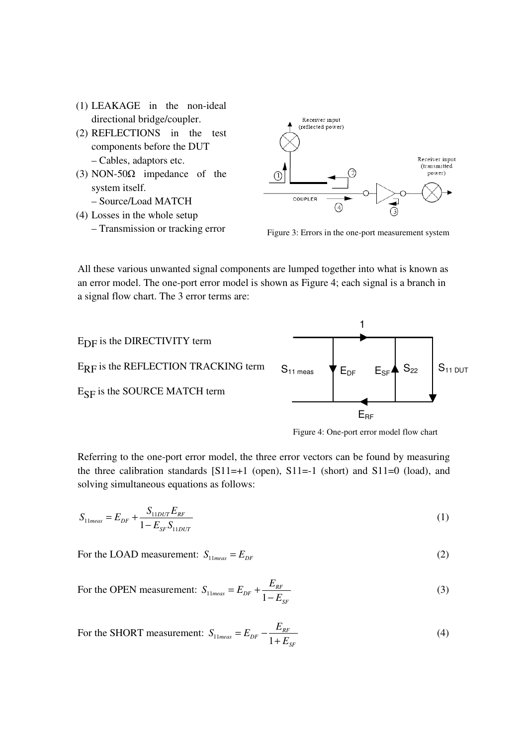- (1) LEAKAGE in the non-ideal directional bridge/coupler.
- (2) REFLECTIONS in the test components before the DUT – Cables, adaptors etc.
- (3) NON-50 $\Omega$  impedance of the system itself. – Source/Load MATCH
- (4) Losses in the whole setup – Transmission or tracking error



Figure 3: Errors in the one-port measurement system

All these various unwanted signal components are lumped together into what is known as an error model. The one-port error model is shown as Figure 4; each signal is a branch in a signal flow chart. The 3 error terms are:



Figure 4: One-port error model flow chart

Referring to the one-port error model, the three error vectors can be found by measuring the three calibration standards  $[S11=+1 \text{ (open)}, S11=-1 \text{ (short)}$  and  $S11=0 \text{ (load)},$  and solving simultaneous equations as follows:

$$
S_{11meas} = E_{DF} + \frac{S_{11DUT}E_{RF}}{1 - E_{SF}S_{11DUT}}
$$
(1)

For the LOAD measurement:  $S_{11meas} = E_{DF}$  (2)

For the OPEN measurement: 
$$
S_{11meas} = E_{DF} + \frac{E_{RF}}{1 - E_{SF}}
$$
(3)

For the SHORT measurement: 
$$
S_{11meas} = E_{DF} - \frac{E_{RF}}{1 + E_{SF}}
$$
(4)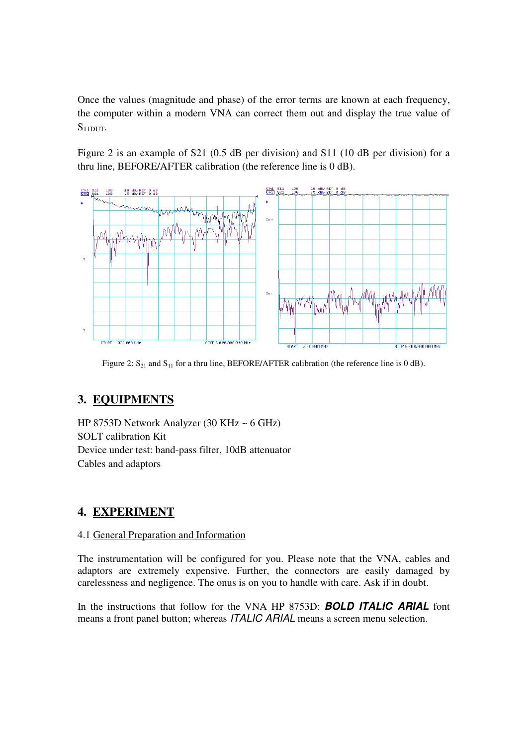Once the values (magnitude and phase) of the error terms are known at each frequency, the computer within a modern VNA can correct them out and display the true value of  $S_{11DUT}$ .

Figure 2 is an example of S21 (0.5 dB per division) and S11 (10 dB per division) for a thru line, BEFORE/AFTER calibration (the reference line is 0 dB).



Figure 2:  $S_{21}$  and  $S_{11}$  for a thru line, BEFORE/AFTER calibration (the reference line is 0 dB).

### **3. EQUIPMENTS**

HP 8753D Network Analyzer (30 KHz ~ 6 GHz) SOLT calibration Kit Device under test: band-pass filter, 10dB attenuator Cables and adaptors

### **4. EXPERIMENT**

### 4.1 General Preparation and Information

The instrumentation will be configured for you. Please note that the VNA, cables and adaptors are extremely expensive. Further, the connectors are easily damaged by carelessness and negligence. The onus is on you to handle with care. Ask if in doubt.

In the instructions that follow for the VNA HP 8753D: **BOLD ITALIC ARIAL** font means a front panel button; whereas ITALIC ARIAL means a screen menu selection.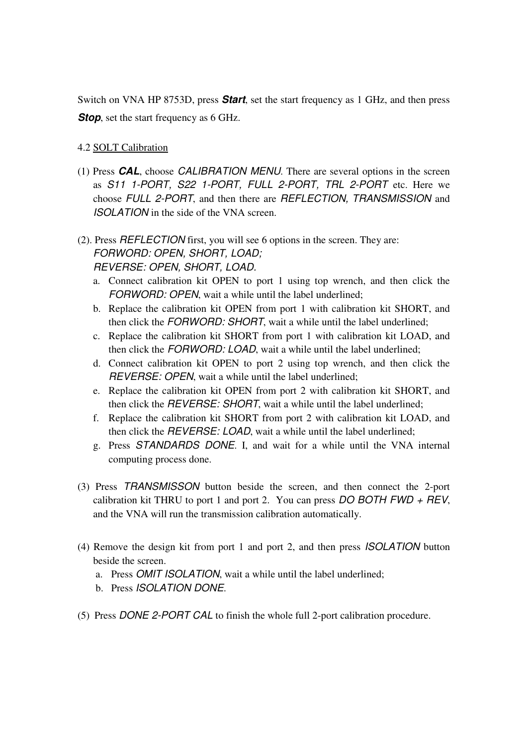Switch on VNA HP 8753D, press **Start**, set the start frequency as 1 GHz, and then press **Stop**, set the start frequency as 6 GHz.

### 4.2 SOLT Calibration

(1) Press **CAL**, choose CALIBRATION MENU. There are several options in the screen as S11 1-PORT, S22 1-PORT, FULL 2-PORT, TRL 2-PORT etc. Here we choose FULL 2-PORT, and then there are REFLECTION, TRANSMISSION and ISOLATION in the side of the VNA screen.

### (2). Press REFLECTION first, you will see 6 options in the screen. They are: FORWORD: OPEN, SHORT, LOAD; REVERSE: OPEN, SHORT, LOAD.

- a. Connect calibration kit OPEN to port 1 using top wrench, and then click the FORWORD: OPEN, wait a while until the label underlined;
- b. Replace the calibration kit OPEN from port 1 with calibration kit SHORT, and then click the FORWORD: SHORT, wait a while until the label underlined;
- c. Replace the calibration kit SHORT from port 1 with calibration kit LOAD, and then click the FORWORD: LOAD, wait a while until the label underlined;
- d. Connect calibration kit OPEN to port 2 using top wrench, and then click the REVERSE: OPEN, wait a while until the label underlined;
- e. Replace the calibration kit OPEN from port 2 with calibration kit SHORT, and then click the REVERSE: SHORT, wait a while until the label underlined;
- f. Replace the calibration kit SHORT from port 2 with calibration kit LOAD, and then click the REVERSE: LOAD, wait a while until the label underlined;
- g. Press STANDARDS DONE. I, and wait for a while until the VNA internal computing process done.
- (3) Press TRANSMISSON button beside the screen, and then connect the 2-port calibration kit THRU to port 1 and port 2. You can press  $DO$  BOTH FWD + REV, and the VNA will run the transmission calibration automatically.
- (4) Remove the design kit from port 1 and port 2, and then press ISOLATION button beside the screen.
	- a. Press OMIT ISOLATION, wait a while until the label underlined;
	- b. Press ISOLATION DONE.
- (5) Press DONE 2-PORT CAL to finish the whole full 2-port calibration procedure.